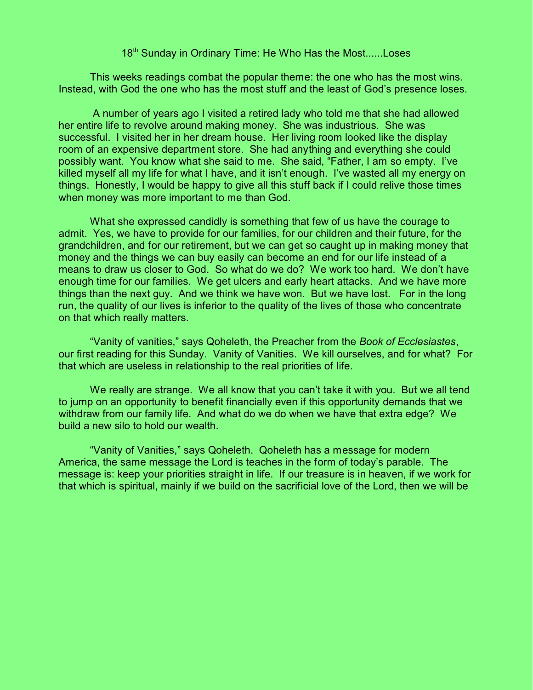## 18<sup>th</sup> Sunday in Ordinary Time: He Who Has the Most......Loses

This weeks readings combat the popular theme: the one who has the most wins. Instead, with God the one who has the most stuff and the least of God's presence loses.

 A number of years ago I visited a retired lady who told me that she had allowed her entire life to revolve around making money. She was industrious. She was successful. I visited her in her dream house. Her living room looked like the display room of an expensive department store. She had anything and everything she could possibly want. You know what she said to me. She said, "Father, I am so empty. I've killed myself all my life for what I have, and it isn't enough. I've wasted all my energy on things. Honestly, I would be happy to give all this stuff back if I could relive those times when money was more important to me than God.

What she expressed candidly is something that few of us have the courage to admit. Yes, we have to provide for our families, for our children and their future, for the grandchildren, and for our retirement, but we can get so caught up in making money that money and the things we can buy easily can become an end for our life instead of a means to draw us closer to God. So what do we do? We work too hard. We don't have enough time for our families. We get ulcers and early heart attacks. And we have more things than the next guy. And we think we have won. But we have lost. For in the long run, the quality of our lives is inferior to the quality of the lives of those who concentrate on that which really matters.

"Vanity of vanities," says Qoheleth, the Preacher from the *Book of Ecclesiastes*, our first reading for this Sunday. Vanity of Vanities. We kill ourselves, and for what? For that which are useless in relationship to the real priorities of life.

We really are strange. We all know that you can't take it with you. But we all tend to jump on an opportunity to benefit financially even if this opportunity demands that we withdraw from our family life. And what do we do when we have that extra edge? We build a new silo to hold our wealth.

"Vanity of Vanities," says Qoheleth. Qoheleth has a message for modern America, the same message the Lord is teaches in the form of today's parable. The message is: keep your priorities straight in life. If our treasure is in heaven, if we work for that which is spiritual, mainly if we build on the sacrificial love of the Lord, then we will be